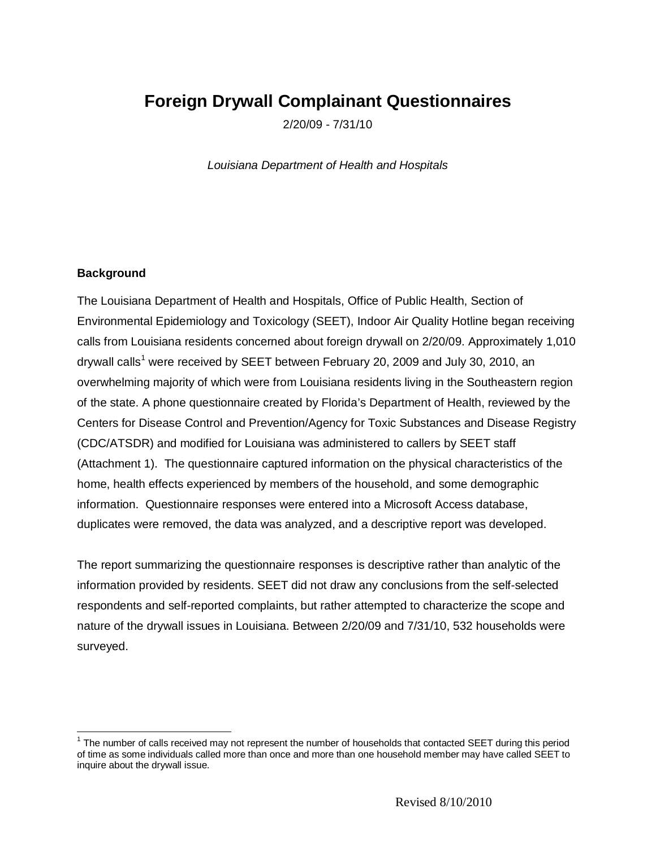# **Foreign Drywall Complainant Questionnaires**

2/20/09 - 7/31/10

*Louisiana Department of Health and Hospitals*

#### **Background**

The Louisiana Department of Health and Hospitals, Office of Public Health, Section of Environmental Epidemiology and Toxicology (SEET), Indoor Air Quality Hotline began receiving calls from Louisiana residents concerned about foreign drywall on 2/20/09. Approximately 1,010 drywall calls<sup>[1](#page-0-0)</sup> were received by SEET between February 20, 2009 and July 30, 2010, an overwhelming majority of which were from Louisiana residents living in the Southeastern region of the state. A phone questionnaire created by Florida's Department of Health, reviewed by the Centers for Disease Control and Prevention/Agency for Toxic Substances and Disease Registry (CDC/ATSDR) and modified for Louisiana was administered to callers by SEET staff (Attachment 1). The questionnaire captured information on the physical characteristics of the home, health effects experienced by members of the household, and some demographic information. Questionnaire responses were entered into a Microsoft Access database, duplicates were removed, the data was analyzed, and a descriptive report was developed.

The report summarizing the questionnaire responses is descriptive rather than analytic of the information provided by residents. SEET did not draw any conclusions from the self-selected respondents and self-reported complaints, but rather attempted to characterize the scope and nature of the drywall issues in Louisiana. Between 2/20/09 and 7/31/10, 532 households were surveyed.

<span id="page-0-0"></span> $1$  The number of calls received may not represent the number of households that contacted SEET during this period of time as some individuals called more than once and more than one household member may have called SEET to inquire about the drywall issue.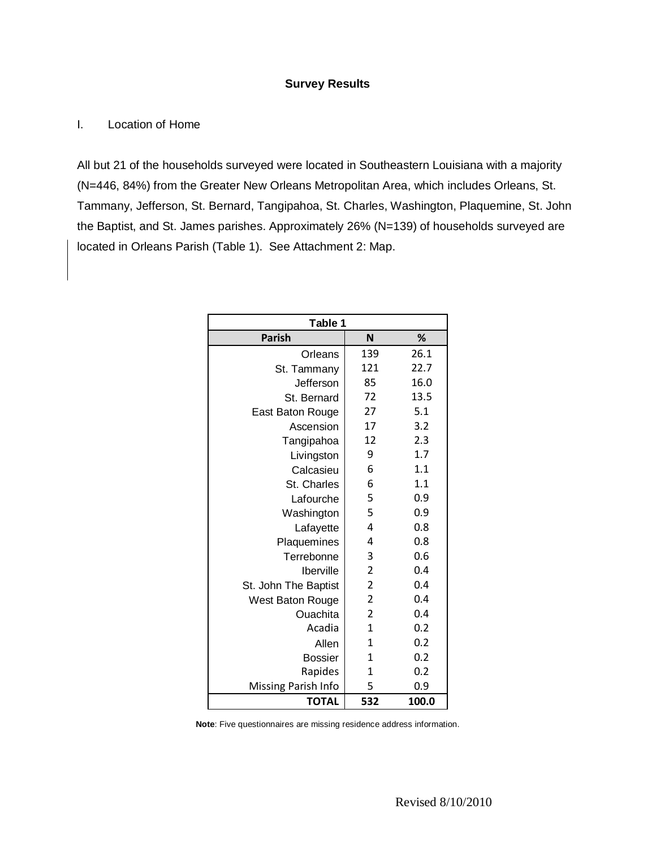#### **Survey Results**

## I. Location of Home

All but 21 of the households surveyed were located in Southeastern Louisiana with a majority (N=446, 84%) from the Greater New Orleans Metropolitan Area, which includes Orleans, St. Tammany, Jefferson, St. Bernard, Tangipahoa, St. Charles, Washington, Plaquemine, St. John the Baptist, and St. James parishes. Approximately 26% (N=139) of households surveyed are located in Orleans Parish (Table 1). See Attachment 2: Map.

| Table 1              |                |       |
|----------------------|----------------|-------|
| <b>Parish</b>        | N              | %     |
| Orleans              | 139            | 26.1  |
| St. Tammany          | 121            | 22.7  |
| Jefferson            | 85             | 16.0  |
| St. Bernard          | 72             | 13.5  |
| East Baton Rouge     | 27             | 5.1   |
| Ascension            | 17             | 3.2   |
| Tangipahoa           | 12             | 2.3   |
| Livingston           | 9              | 1.7   |
| Calcasieu            | 6              | 1.1   |
| St. Charles          | 6              | 1.1   |
| Lafourche            | 5              | 0.9   |
| Washington           | 5              | 0.9   |
| Lafayette            | 4              | 0.8   |
| Plaquemines          | 4              | 0.8   |
| Terrebonne           | 3              | 0.6   |
| Iberville            | $\overline{2}$ | 0.4   |
| St. John The Baptist | $\overline{2}$ | 0.4   |
| West Baton Rouge     | $\overline{c}$ | 0.4   |
| Ouachita             | $\overline{2}$ | 0.4   |
| Acadia               | 1              | 0.2   |
| Allen                | $\mathbf{1}$   | 0.2   |
| <b>Bossier</b>       | $\mathbf{1}$   | 0.2   |
| Rapides              | 1              | 0.2   |
| Missing Parish Info  | 5              | 0.9   |
| <b>TOTAL</b>         | 532            | 100.0 |

**Note**: Five questionnaires are missing residence address information.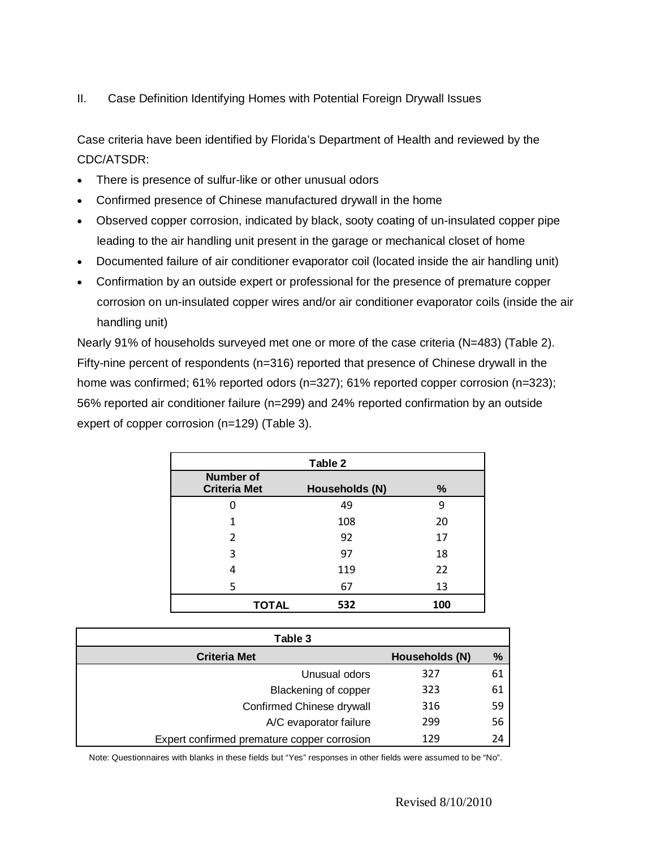II. Case Definition Identifying Homes with Potential Foreign Drywall Issues

Case criteria have been identified by Florida's Department of Health and reviewed by the CDC/ATSDR:

- There is presence of sulfur-like or other unusual odors
- Confirmed presence of Chinese manufactured drywall in the home
- Observed copper corrosion, indicated by black, sooty coating of un-insulated copper pipe leading to the air handling unit present in the garage or mechanical closet of home
- Documented failure of air conditioner evaporator coil (located inside the air handling unit)
- Confirmation by an outside expert or professional for the presence of premature copper corrosion on un-insulated copper wires and/or air conditioner evaporator coils (inside the air handling unit)

Nearly 91% of households surveyed met one or more of the case criteria (N=483) (Table 2). Fifty-nine percent of respondents (n=316) reported that presence of Chinese drywall in the home was confirmed; 61% reported odors (n=327); 61% reported copper corrosion (n=323); 56% reported air conditioner failure (n=299) and 24% reported confirmation by an outside expert of copper corrosion (n=129) (Table 3).

| Table 2                                 |                |      |
|-----------------------------------------|----------------|------|
| <b>Number of</b><br><b>Criteria Met</b> | Households (N) | $\%$ |
| O                                       | 49             | 9    |
| 1                                       | 108            | 20   |
| 2                                       | 92             | 17   |
| 3                                       | 97             | 18   |
| 4                                       | 119            | 22   |
| 5                                       | 67             | 13   |
| <b>TOTAL</b>                            | 532            | 100  |

| Table 3                                     |                |      |  |
|---------------------------------------------|----------------|------|--|
| <b>Criteria Met</b>                         | Households (N) | $\%$ |  |
| Unusual odors                               | 327            | 61   |  |
| Blackening of copper                        | 323            | 61   |  |
| 316<br>Confirmed Chinese drywall            |                | 59   |  |
| A/C evaporator failure                      | 299            | 56   |  |
| Expert confirmed premature copper corrosion | 129            | 24   |  |

Note: Questionnaires with blanks in these fields but "Yes" responses in other fields were assumed to be "No".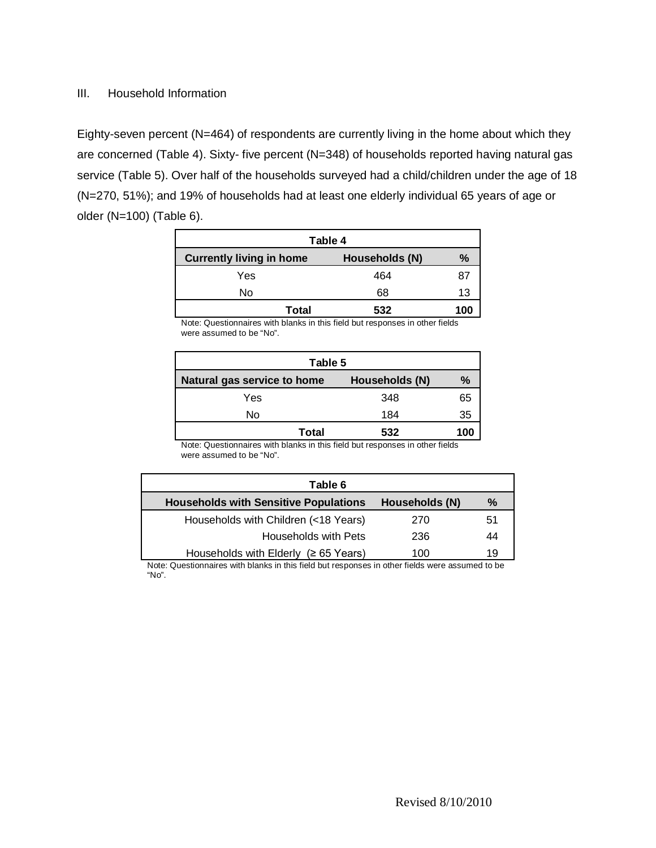#### III. Household Information

Eighty-seven percent (N=464) of respondents are currently living in the home about which they are concerned (Table 4). Sixty- five percent (N=348) of households reported having natural gas service (Table 5). Over half of the households surveyed had a child/children under the age of 18 (N=270, 51%); and 19% of households had at least one elderly individual 65 years of age or older (N=100) (Table 6).

| Table 4                         |                |      |
|---------------------------------|----------------|------|
| <b>Currently living in home</b> | Households (N) | $\%$ |
| Yes                             | 464            | 87   |
| No                              | 68             | 13   |
| Total                           | 532            | 100  |

Note: Questionnaires with blanks in this field but responses in other fields were assumed to be "No".

| Table 5                     |                |      |
|-----------------------------|----------------|------|
| Natural gas service to home | Households (N) | $\%$ |
| Yes                         | 348            | 65   |
| No                          | 184            | 35   |
| <b>Total</b>                | 532            | 100  |

Note: Questionnaires with blanks in this field but responses in other fields were assumed to be "No".

| Table 6                                      |                |    |
|----------------------------------------------|----------------|----|
| <b>Households with Sensitive Populations</b> | Households (N) | %  |
| Households with Children (<18 Years)         | 270            | 51 |
| Households with Pets                         | 236            | 44 |
| Households with Elderly ( $\geq 65$ Years)   | 100            | 19 |

Note: Questionnaires with blanks in this field but responses in other fields were assumed to be "No".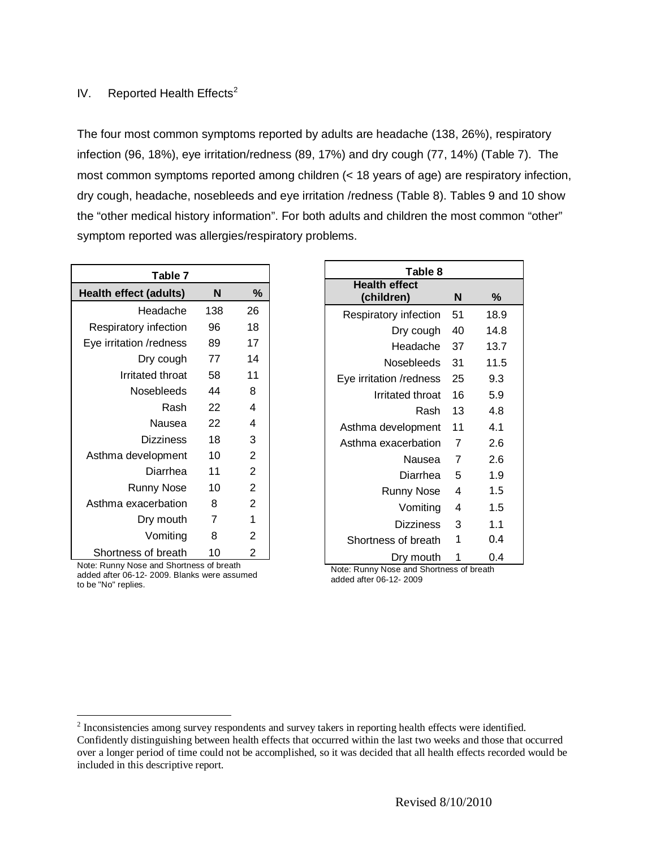## IV. Reported Health Effects<sup>[2](#page-4-0)</sup>

The four most common symptoms reported by adults are headache (138, 26%), respiratory infection (96, 18%), eye irritation/redness (89, 17%) and dry cough (77, 14%) (Table 7). The most common symptoms reported among children (< 18 years of age) are respiratory infection, dry cough, headache, nosebleeds and eye irritation /redness (Table 8). Tables 9 and 10 show the "other medical history information". For both adults and children the most common "other" symptom reported was allergies/respiratory problems.

| Table 7                       |                |                |
|-------------------------------|----------------|----------------|
| <b>Health effect (adults)</b> | N              | $\%$           |
| Headache                      | 138            | 26             |
| Respiratory infection         | 96             | 18             |
| Eye irritation /redness       | 89             | 17             |
| Dry cough                     | 77             | 14             |
| Irritated throat              | 58             | 11             |
| Nosebleeds                    | 44             | 8              |
| Rash                          | 22             | 4              |
| Nausea                        | 22             | 4              |
| <b>Dizziness</b>              | 18             | 3              |
| Asthma development            | 10             | $\overline{2}$ |
| Diarrhea                      | 11             | $\overline{2}$ |
| <b>Runny Nose</b>             | 10             | $\overline{2}$ |
| Asthma exacerbation           | 8              | $\overline{2}$ |
| Dry mouth                     | $\overline{7}$ | 1              |
| Vomiting                      | 8              | $\overline{2}$ |
| Shortness of breath           | 10             | 2              |

Note: Runny Nose and Shortness of breath added after 06-12- 2009. Blanks were assumed to be "No" replies.

| Table 8                            |    |      |
|------------------------------------|----|------|
| <b>Health effect</b><br>(children) | N  | %    |
| Respiratory infection              | 51 | 18.9 |
| Dry cough                          | 40 | 14.8 |
| Headache                           | 37 | 13.7 |
| Nosebleeds                         | 31 | 11.5 |
| Eye irritation /redness            | 25 | 9.3  |
| Irritated throat                   | 16 | 5.9  |
| Rash                               | 13 | 4.8  |
| Asthma development                 | 11 | 4.1  |
| Asthma exacerbation                | 7  | 2.6  |
| Nausea                             | 7  | 2.6  |
| Diarrhea                           | 5  | 1.9  |
| <b>Runny Nose</b>                  | 4  | 1.5  |
| Vomiting                           | 4  | 1.5  |
| Dizziness                          | 3  | 1.1  |
| Shortness of breath                | 1  | 0.4  |
| Dry mouth                          | 1  | 0.4  |

Note: Runny Nose and Shortness of breath added after 06-12- 2009

<span id="page-4-0"></span><sup>&</sup>lt;sup>2</sup> Inconsistencies among survey respondents and survey takers in reporting health effects were identified. Confidently distinguishing between health effects that occurred within the last two weeks and those that occurred over a longer period of time could not be accomplished, so it was decided that all health effects recorded would be included in this descriptive report.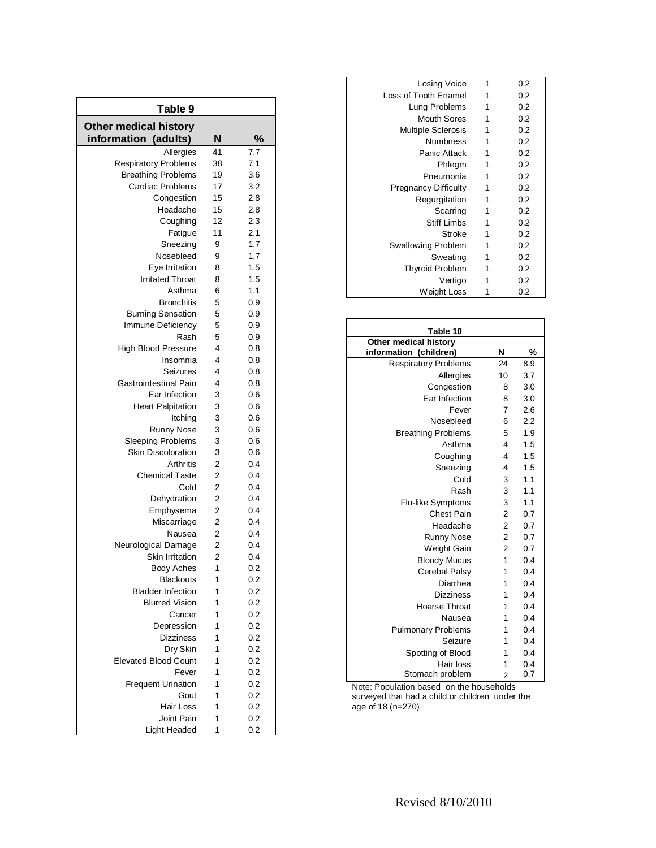| Table 9                                              |                |     |
|------------------------------------------------------|----------------|-----|
| <b>Other medical history</b><br>information (adults) | N              | %   |
| Allergies                                            | 41             | 7.7 |
| <b>Respiratory Problems</b>                          | 38             | 7.1 |
| <b>Breathing Problems</b>                            | 19             | 3.6 |
| <b>Cardiac Problems</b>                              | 17             | 3.2 |
| Congestion                                           | 15             | 2.8 |
| Headache                                             | 15             | 2.8 |
| Coughing                                             | 12             | 2.3 |
| Fatigue                                              | 11             | 2.1 |
| Sneezing                                             | 9              | 1.7 |
| Nosebleed                                            | 9              | 1.7 |
| Eye Irritation                                       | 8              | 1.5 |
| <b>Irritated Throat</b>                              | 8              | 1.5 |
| Asthma                                               | 6              | 1.1 |
| <b>Bronchitis</b>                                    | 5              | 0.9 |
| <b>Burning Sensation</b>                             | 5              | 0.9 |
| Immune Deficiency                                    | 5              | 0.9 |
| Rash                                                 | 5              | 0.9 |
| <b>High Blood Pressure</b>                           | 4              | 0.8 |
| Insomnia                                             | 4              | 0.8 |
| Seizures                                             | 4              | 0.8 |
| Gastrointestinal Pain                                | 4              | 0.8 |
| Ear Infection                                        | 3              | 0.6 |
| <b>Heart Palpitation</b>                             | 3              | 0.6 |
| Itching                                              | 3              | 0.6 |
| Runny Nose                                           | 3              | 0.6 |
| <b>Sleeping Problems</b>                             | 3              | 0.6 |
| <b>Skin Discoloration</b>                            | 3              | 0.6 |
| Arthritis                                            | 2              | 0.4 |
| <b>Chemical Taste</b>                                | 2              | 0.4 |
| Cold                                                 | 2              | 0.4 |
| Dehydration                                          | 2              | 0.4 |
| Emphysema                                            | $\overline{2}$ | 0.4 |
| Miscarriage                                          | 2              | 0.4 |
| Nausea                                               | 2              | 0.4 |
| Neurological Damage                                  | 2              | 0.4 |
| <b>Skin Irritation</b>                               | 2              | 0.4 |
| <b>Body Aches</b>                                    | 1              | 0.2 |
| <b>Blackouts</b>                                     | 1              | 0.2 |
| <b>Bladder Infection</b>                             | 1              | 0.2 |
| <b>Blurred Vision</b>                                | 1              | 0.2 |
| Cancer                                               | 1              | 0.2 |
| Depression                                           | 1              | 0.2 |
| <b>Dizziness</b>                                     | 1              | 0.2 |
| Dry Skin                                             | 1              | 0.2 |
| <b>Elevated Blood Count</b>                          | 1              | 0.2 |
| Fever                                                | 1              | 0.2 |
| <b>Frequent Urination</b>                            | 1              | 0.2 |
| Gout                                                 | 1              | 0.2 |
| Hair Loss                                            | 1              | 0.2 |
| Joint Pain                                           | 1              | 0.2 |
| Light Headed                                         | 1              | 0.2 |
|                                                      |                |     |

| Losing Voice                | 1 | 0.2 |
|-----------------------------|---|-----|
| Loss of Tooth Enamel        | 1 | 0.2 |
| Lung Problems               | 1 | 0.2 |
| <b>Mouth Sores</b>          | 1 | 0.2 |
| <b>Multiple Sclerosis</b>   | 1 | 0.2 |
| Numbness                    | 1 | 0.2 |
| Panic Attack                | 1 | 0.2 |
| Phlegm                      | 1 | 0.2 |
| Pneumonia                   | 1 | 0.2 |
| <b>Pregnancy Difficulty</b> | 1 | 0.2 |
| Regurgitation               | 1 | 0.2 |
| Scarring                    | 1 | 0.2 |
| <b>Stiff Limbs</b>          | 1 | 0.2 |
| Stroke                      | 1 | 0.2 |
| <b>Swallowing Problem</b>   | 1 | 0.2 |
| Sweating                    | 1 | 0.2 |
| <b>Thyroid Problem</b>      | 1 | 0.2 |
| Vertigo                     | 1 | 0.2 |
| Weight Loss                 | 1 | 0.2 |

| Table 10                    |                |     |
|-----------------------------|----------------|-----|
| Other medical history       |                |     |
| information (children)      | N              | %   |
| <b>Respiratory Problems</b> | 24             | 8.9 |
| Allergies                   | 10             | 3.7 |
| Congestion                  | 8              | 3.0 |
| Ear Infection               | 8              | 3.0 |
| Fever                       | $\overline{7}$ | 2.6 |
| Nosebleed                   | 6              | 2.2 |
| <b>Breathing Problems</b>   | 5              | 1.9 |
| Asthma                      | $\overline{4}$ | 1.5 |
| Coughing                    | $\overline{4}$ | 1.5 |
| Sneezing                    | 4              | 1.5 |
| Cold                        | 3              | 1.1 |
| Rash                        | 3              | 1.1 |
| Flu-like Symptoms           | 3              | 1.1 |
| <b>Chest Pain</b>           | $\overline{2}$ | 0.7 |
| Headache                    | $\overline{2}$ | 0.7 |
| <b>Runny Nose</b>           | $\overline{2}$ | 0.7 |
| Weight Gain                 | $\overline{2}$ | 0.7 |
| <b>Bloody Mucus</b>         | 1              | 0.4 |
| Cerebal Palsy               | 1              | 0.4 |
| Diarrhea                    | 1              | 0.4 |
| <b>Dizziness</b>            | 1              | 0.4 |
| Hoarse Throat               | 1              | 0.4 |
| Nausea                      | 1              | 0.4 |
| <b>Pulmonary Problems</b>   | 1              | 0.4 |
| Seizure                     | 1              | 0.4 |
| Spotting of Blood           | 1              | 0.4 |
| Hair loss                   | 1              | 0.4 |
| Stomach problem             | $\overline{2}$ | 0.7 |

Note: Population based on the households surveyed that had a child or children under the age of 18 (n=270 )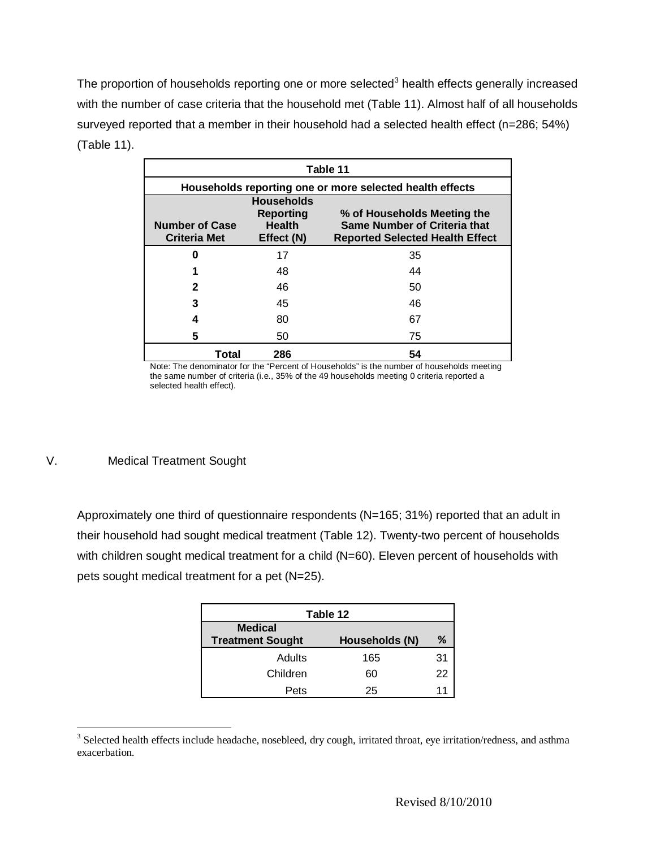The proportion of households reporting one or more selected<sup>[3](#page-6-0)</sup> health effects generally increased with the number of case criteria that the household met (Table 11). Almost half of all households surveyed reported that a member in their household had a selected health effect (n=286; 54%) (Table 11).

| Table 11                                     |                                                                      |                                                                                                       |
|----------------------------------------------|----------------------------------------------------------------------|-------------------------------------------------------------------------------------------------------|
|                                              |                                                                      | Households reporting one or more selected health effects                                              |
| <b>Number of Case</b><br><b>Criteria Met</b> | <b>Households</b><br><b>Reporting</b><br><b>Health</b><br>Effect (N) | % of Households Meeting the<br>Same Number of Criteria that<br><b>Reported Selected Health Effect</b> |
| O                                            | 17                                                                   | 35                                                                                                    |
|                                              | 48                                                                   | 44                                                                                                    |
| 2                                            | 46                                                                   | 50                                                                                                    |
| 3                                            | 45                                                                   | 46                                                                                                    |
| 4                                            | 80                                                                   | 67                                                                                                    |
| 5                                            | 50                                                                   | 75                                                                                                    |
| Total                                        | 286                                                                  | 54                                                                                                    |

Note: The denominator for the "Percent of Households" is the number of households meeting the same number of criteria (i.e., 35% of the 49 households meeting 0 criteria reported a selected health effect).

V. Medical Treatment Sought

Approximately one third of questionnaire respondents (N=165; 31%) reported that an adult in their household had sought medical treatment (Table 12). Twenty-two percent of households with children sought medical treatment for a child (N=60). Eleven percent of households with pets sought medical treatment for a pet (N=25).

| Table 12                                  |                |    |  |  |
|-------------------------------------------|----------------|----|--|--|
| <b>Medical</b><br><b>Treatment Sought</b> | Households (N) | ℅  |  |  |
| Adults                                    | 165            | 31 |  |  |
| Children                                  | 60             | 22 |  |  |
| Pets                                      | 25             |    |  |  |

<span id="page-6-0"></span><sup>&</sup>lt;sup>3</sup> Selected health effects include headache, nosebleed, dry cough, irritated throat, eye irritation/redness, and asthma exacerbation.

Revised 8/10/2010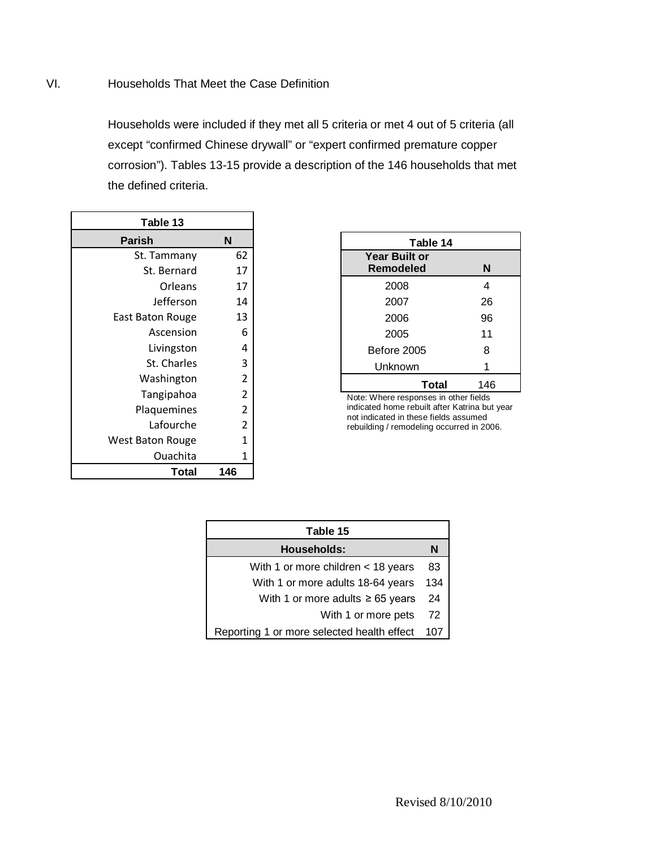# VI. Households That Meet the Case Definition

Households were included if they met all 5 criteria or met 4 out of 5 criteria (all except "confirmed Chinese drywall" or "expert confirmed premature copper corrosion"). Tables 13-15 provide a description of the 146 households that met the defined criteria.

| Table 13         |                |  |  |
|------------------|----------------|--|--|
| <b>Parish</b>    | N              |  |  |
| St. Tammany      | 62             |  |  |
| St. Bernard      | 17             |  |  |
| Orleans          | 17             |  |  |
| Jefferson        | 14             |  |  |
| East Baton Rouge | 13             |  |  |
| Ascension        | 6              |  |  |
| Livingston       | 4              |  |  |
| St. Charles      | 3              |  |  |
| Washington       | $\overline{2}$ |  |  |
| Tangipahoa       | $\overline{2}$ |  |  |
| Plaquemines      | $\overline{c}$ |  |  |
| Lafourche        | $\overline{2}$ |  |  |
| West Baton Rouge | $\overline{1}$ |  |  |
| Ouachita         | 1              |  |  |
| Total            | 146            |  |  |

| Table 14                              |  |  |  |
|---------------------------------------|--|--|--|
| N                                     |  |  |  |
| 4                                     |  |  |  |
| 26                                    |  |  |  |
| 96                                    |  |  |  |
| 11                                    |  |  |  |
| 8                                     |  |  |  |
| 1                                     |  |  |  |
| 146                                   |  |  |  |
| Note: Whore responses in other fields |  |  |  |

Note: Where responses in other fields indicated home rebuilt after Katrina but year not indicated in these fields assumed rebuilding / remodeling occurred in 2006.

| Table 15                                   |    |  |  |
|--------------------------------------------|----|--|--|
| <b>Households:</b>                         |    |  |  |
| With 1 or more children < 18 years         | 83 |  |  |
| With 1 or more adults 18-64 years          |    |  |  |
| With 1 or more adults $\geq 65$ years      |    |  |  |
| With 1 or more pets                        | 72 |  |  |
| Reporting 1 or more selected health effect |    |  |  |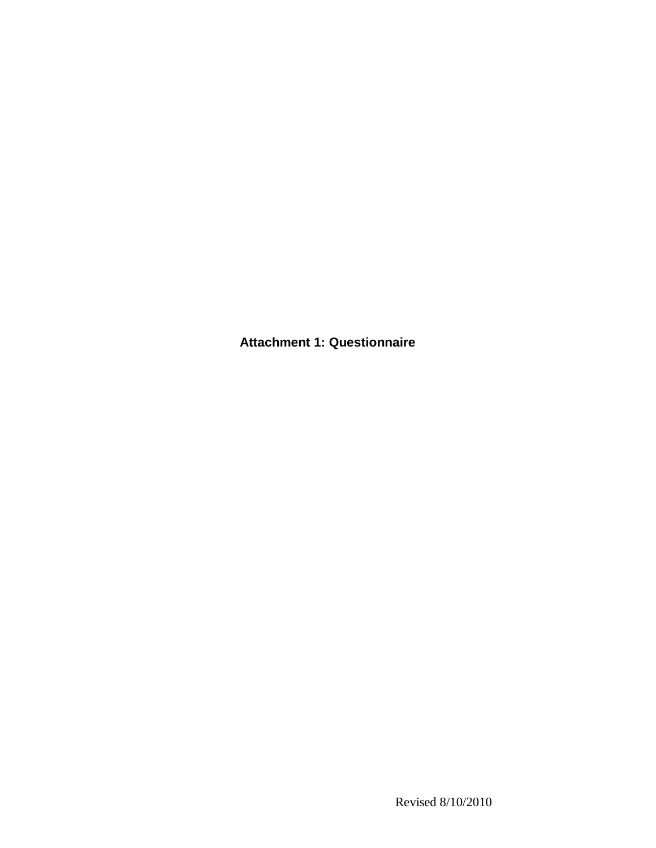**Attachment 1: Questionnaire**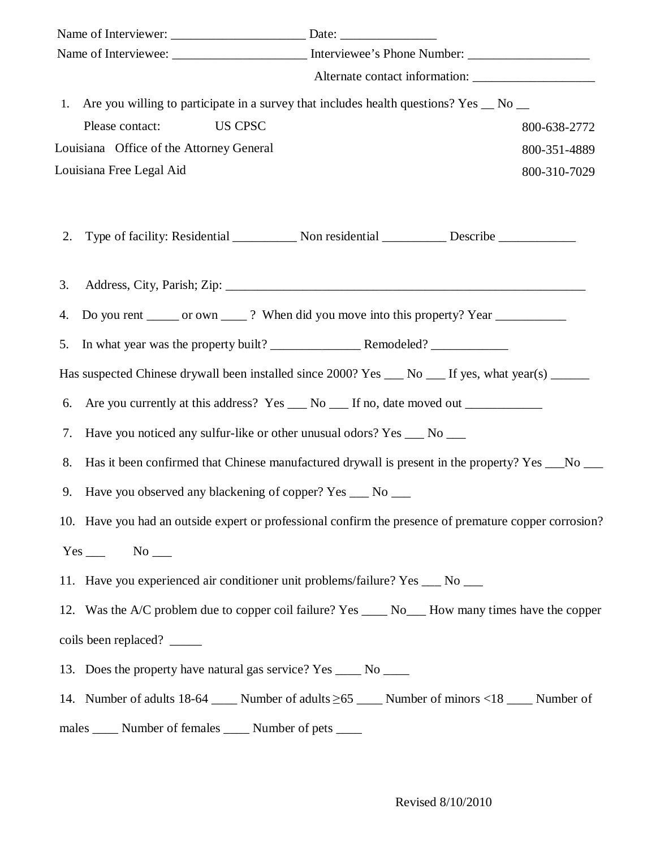|    | 1. Are you willing to participate in a survey that includes health questions? Yes _ No _                  |                                                                                                 |  |  |  |
|----|-----------------------------------------------------------------------------------------------------------|-------------------------------------------------------------------------------------------------|--|--|--|
|    | <b>US CPSC</b><br>Please contact:                                                                         | 800-638-2772                                                                                    |  |  |  |
|    | Louisiana Office of the Attorney General                                                                  | 800-351-4889                                                                                    |  |  |  |
|    | Louisiana Free Legal Aid                                                                                  | 800-310-7029                                                                                    |  |  |  |
|    |                                                                                                           |                                                                                                 |  |  |  |
| 2. |                                                                                                           |                                                                                                 |  |  |  |
| 3. |                                                                                                           |                                                                                                 |  |  |  |
| 4. | Do you rent ______ or own _____? When did you move into this property? Year _______________________       |                                                                                                 |  |  |  |
| 5. |                                                                                                           |                                                                                                 |  |  |  |
|    | Has suspected Chinese drywall been installed since 2000? Yes __ No __ If yes, what year(s) _____          |                                                                                                 |  |  |  |
| 6. | Are you currently at this address? Yes ___ No ___ If no, date moved out _________                         |                                                                                                 |  |  |  |
| 7. | Have you noticed any sulfur-like or other unusual odors? Yes ___ No ___                                   |                                                                                                 |  |  |  |
| 8. |                                                                                                           | Has it been confirmed that Chinese manufactured drywall is present in the property? Yes __No __ |  |  |  |
| 9. | Have you observed any blackening of copper? Yes ___ No ___                                                |                                                                                                 |  |  |  |
|    | 10. Have you had an outside expert or professional confirm the presence of premature copper corrosion?    |                                                                                                 |  |  |  |
|    | $Yes \_\_\_$ No $\_\_\_$                                                                                  |                                                                                                 |  |  |  |
|    | 11. Have you experienced air conditioner unit problems/failure? Yes __ No __                              |                                                                                                 |  |  |  |
|    | 12. Was the A/C problem due to copper coil failure? Yes _____ No____ How many times have the copper       |                                                                                                 |  |  |  |
|    | coils been replaced?                                                                                      |                                                                                                 |  |  |  |
|    | 13. Does the property have natural gas service? Yes _____ No _____                                        |                                                                                                 |  |  |  |
|    | 14. Number of adults $18-64$ ______ Number of adults $\geq 65$ _____ Number of minors <18 _____ Number of |                                                                                                 |  |  |  |
|    | males ______ Number of females ______ Number of pets _____                                                |                                                                                                 |  |  |  |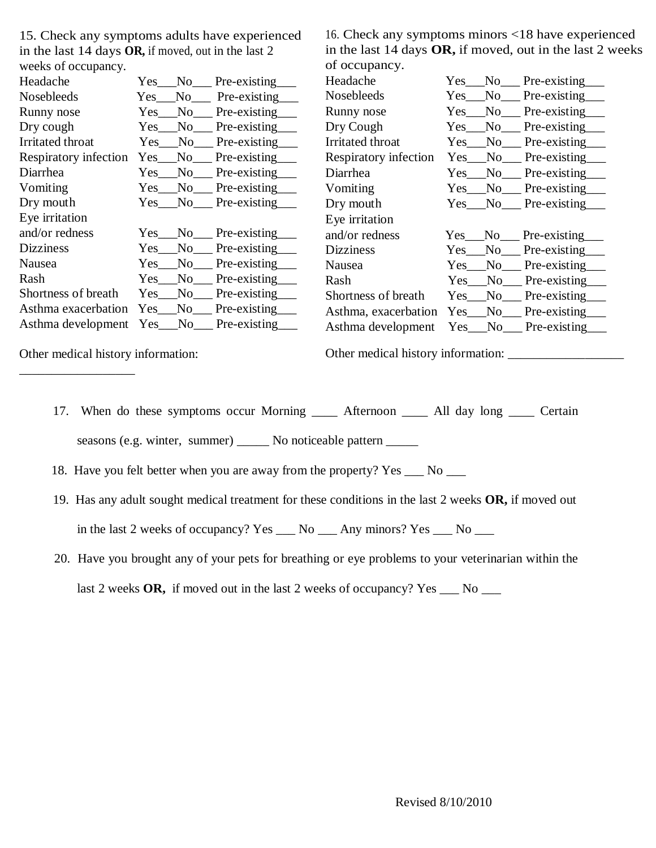15. Check any symptoms adults have experienced in the last 14 days **OR,** if moved, out in the last 2 weeks of occupancy.

16. Check any symptoms minors <18 have experienced in the last 14 days **OR,** if moved, out in the last 2 weeks of occupancy.

| WEERS OF OCCUPATICY.  |            |       |                       | UI OCCUPANCY.         |                      |        |                     |
|-----------------------|------------|-------|-----------------------|-----------------------|----------------------|--------|---------------------|
| Headache              | Yes.       | No 1  | Pre-existing          | Headache              | $Yes$ <sub>___</sub> | No.    | Pre-existing        |
| Nosebleeds            | Yes.       | No    | Pre-existing          | <b>Nosebleeds</b>     | Yes                  | No     | Pre-existing        |
| Runny nose            | <b>Yes</b> | No    | Pre-existing          | Runny nose            | <b>Yes</b>           | No.    | Pre-existing        |
| Dry cough             | Yes        | No.   | Pre-existing          | Dry Cough             | <b>Yes</b>           | No     | Pre-existing        |
| Irritated throat      | Yes        | No.   | Pre-existing          | Irritated throat      | Yes                  | No.    | Pre-existing        |
| Respiratory infection | Yes        | No.   | Pre-existing          | Respiratory infection | Yes.                 | No.    | Pre-existing        |
| Diarrhea              | Yes.       | No    | Pre-existing          | Diarrhea              | Yes                  | No     | Pre-existing        |
| Vomiting              | Yes        | No.   | Pre-existing          | Vomiting              | Yes                  | No     | Pre-existing        |
| Dry mouth             |            |       | Yes No Pre-existing   | Dry mouth             |                      |        | Yes No Pre-existing |
| Eye irritation        |            |       |                       | Eye irritation        |                      |        |                     |
| and/or redness        | Yes        | No r  | Pre-existing          | and/or redness        | Yes                  | No.    | Pre-existing        |
| <b>Dizziness</b>      | Yes        | No    | Pre-existing          | <b>Dizziness</b>      | Yes                  | No     | Pre-existing        |
| Nausea                | Yes        | No    | Pre-existing          | Nausea                | Yes                  | No     | Pre-existing        |
| Rash                  | Yes        | $No-$ | Pre-existing          | Rash                  | Yes                  | No     | Pre-existing        |
| Shortness of breath   | <b>Yes</b> | No    | Pre-existing          | Shortness of breath   | Yes.                 | No     | Pre-existing        |
| Asthma exacerbation   | Yes        | No    | Pre-existing          | Asthma, exacerbation  |                      | Yes No | Pre-existing        |
| Asthma development    |            |       | Yes__No__Pre-existing | Asthma development    |                      | Yes No | Pre-existing        |
|                       |            |       |                       |                       |                      |        |                     |

Other medical history information:

\_\_\_\_\_\_\_\_\_\_\_\_\_\_\_\_\_\_

Other medical history information: \_\_\_\_\_\_\_\_\_\_\_\_\_\_\_\_\_\_

17. When do these symptoms occur Morning \_\_\_\_\_ Afternoon \_\_\_\_\_ All day long \_\_\_\_ Certain

seasons (e.g. winter, summer) \_\_\_\_\_\_ No noticeable pattern \_\_\_\_\_

- 18. Have you felt better when you are away from the property? Yes \_\_\_ No \_\_\_
- 19. Has any adult sought medical treatment for these conditions in the last 2 weeks **OR,** if moved out in the last 2 weeks of occupancy? Yes \_\_\_ No \_\_\_ Any minors? Yes \_\_\_ No \_\_\_
- 20. Have you brought any of your pets for breathing or eye problems to your veterinarian within the

last 2 weeks **OR**, if moved out in the last 2 weeks of occupancy? Yes \_\_\_ No \_\_\_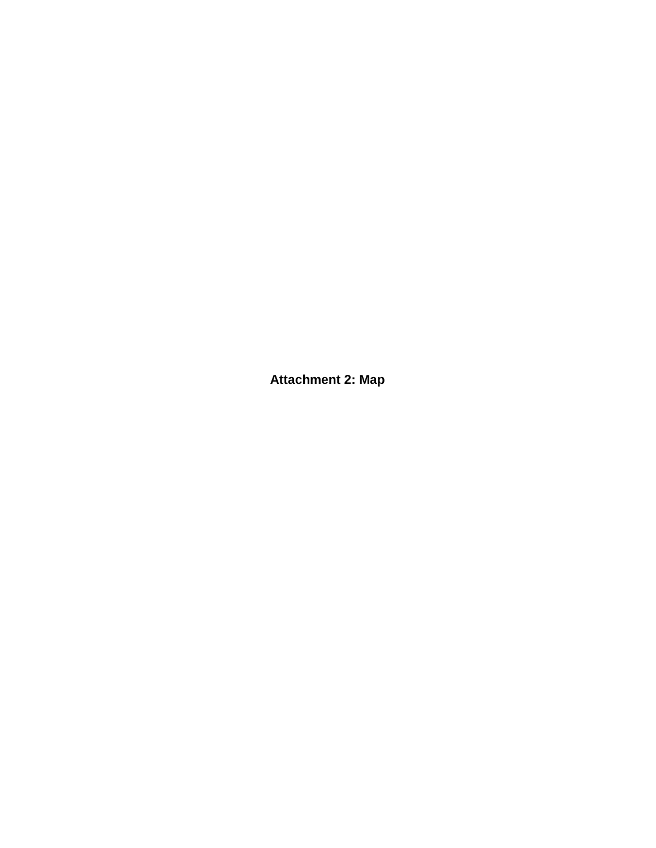**Attachment 2: Map**